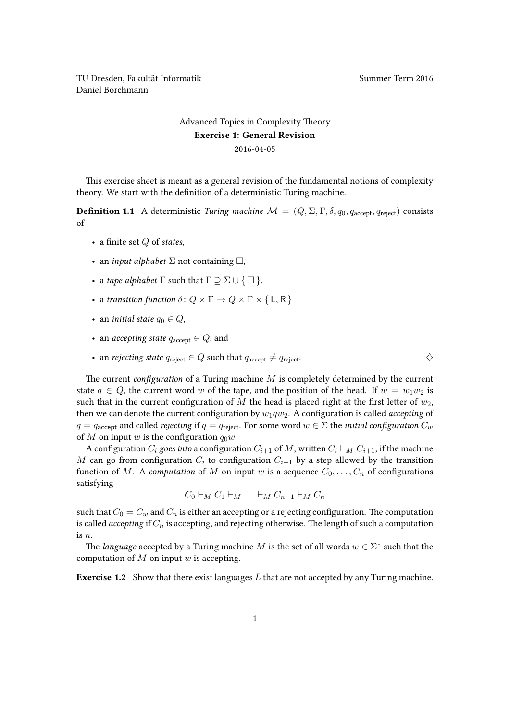TU Dresden, Fakultät Informatik Nummer Term 2016 Daniel Borchmann

## [Advanced Topics in Complexity Theory](https://ddll.inf.tu-dresden.de/web/Advanced_Topics_in_Complexity_Theory_(SS2016)) Exercise 1: General Revision 2016-04-05

This exercise sheet is meant as a general revision of the fundamental notions of complexity theory. We start with the definition of a deterministic Turing machine.

**Definition 1.1** A deterministic Turing machine  $M = (Q, \Sigma, \Gamma, \delta, q_0, q_{\text{accept}}, q_{\text{reject}})$  consists of

- a finite set  $Q$  of states,
- an *input alphabet*  $\Sigma$  not containing  $\square$ ,
- a tape alphabet  $\Gamma$  such that  $\Gamma \supseteq \Sigma \cup \{\square\}.$
- a transition function  $\delta: Q \times \Gamma \to Q \times \Gamma \times \{L, R\}$
- an *initial state*  $q_0 \in Q$ ,
- an *accepting state*  $q_{\text{accept}} \in Q$ , and
- an rejecting state  $q_{\text{reiect}} \in Q$  such that  $q_{\text{accept}} \neq q_{\text{reiect}}$ .

The current *configuration* of a Turing machine  $M$  is completely determined by the current state  $q \in Q$ , the current word w of the tape, and the position of the head. If  $w = w_1w_2$  is such that in the current configuration of M the head is placed right at the first letter of  $w_2$ , then we can denote the current configuration by  $w_1qw_2$ . A configuration is called *accepting* of  $q = q_{\text{accept}}$  and called *rejecting* if  $q = q_{\text{reject}}$ . For some word  $w \in \Sigma$  the *initial configuration*  $C_w$ of M on input w is the configuration  $q_0w$ .

A configuration  $C_i$  goes into a configuration  $C_{i+1}$  of M, written  $C_i \vdash_M C_{i+1}$ , if the machine M can go from configuration  $C_i$  to configuration  $C_{i+1}$  by a step allowed by the transition function of M. A computation of M on input w is a sequence  $C_0, \ldots, C_n$  of configurations satisfying

$$
C_0 \vdash_M C_1 \vdash_M \ldots \vdash_M C_{n-1} \vdash_M C_n
$$

such that  $C_0 = C_w$  and  $C_n$  is either an accepting or a rejecting configuration. The computation is called *accepting* if  $C_n$  is accepting, and rejecting otherwise. The length of such a computation is n.

The language accepted by a Turing machine M is the set of all words  $w \in \Sigma^*$  such that the computation of  $M$  on input  $w$  is accepting.

**Exercise 1.2** Show that there exist languages  $L$  that are not accepted by any Turing machine.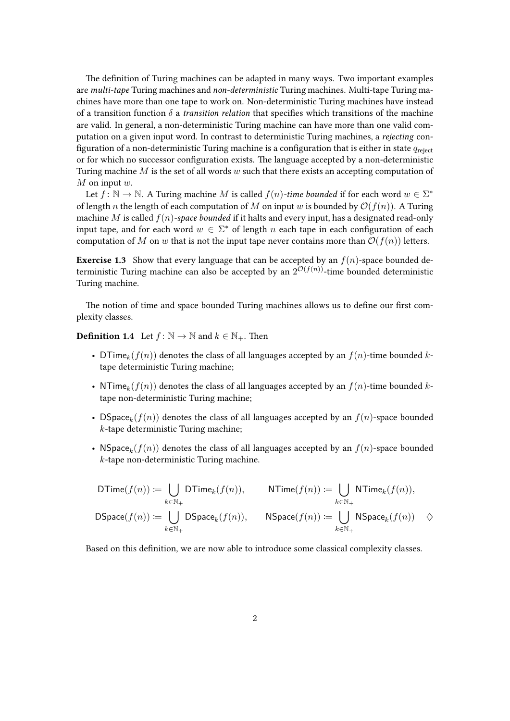The definition of Turing machines can be adapted in many ways. Two important examples are multi-tape Turing machines and non-deterministic Turing machines. Multi-tape Turing machines have more than one tape to work on. Non-deterministic Turing machines have instead of a transition function  $\delta$  a *transition relation* that specifies which transitions of the machine are valid. In general, a non-deterministic Turing machine can have more than one valid computation on a given input word. In contrast to deterministic Turing machines, a rejecting configuration of a non-deterministic Turing machine is a configuration that is either in state  $q_{reject}$ or for which no successor configuration exists. The language accepted by a non-deterministic Turing machine  $M$  is the set of all words  $w$  such that there exists an accepting computation of  $M$  on input  $w$ .

Let  $f: \mathbb{N} \to \mathbb{N}$ . A Turing machine M is called  $f(n)$ -time bounded if for each word  $w \in \Sigma^*$ of length n the length of each computation of M on input w is bounded by  $\mathcal{O}(f(n))$ . A Turing machine M is called  $f(n)$ -space bounded if it halts and every input, has a designated read-only input tape, and for each word  $w \in \Sigma^*$  of length n each tape in each configuration of each computation of M on w that is not the input tape never contains more than  $\mathcal{O}(f(n))$  letters.

**Exercise 1.3** Show that every language that can be accepted by an  $f(n)$ -space bounded deterministic Turing machine can also be accepted by an  $2^{\mathcal{O}(f(n))}$ -time bounded deterministic Turing machine.

The notion of time and space bounded Turing machines allows us to define our first complexity classes.

**Definition 1.4** Let  $f : \mathbb{N} \to \mathbb{N}$  and  $k \in \mathbb{N}_+$ . Then

- DTime<sub>k</sub>( $f(n)$ ) denotes the class of all languages accepted by an  $f(n)$ -time bounded ktape deterministic Turing machine;
- NTime<sub>k</sub>( $f(n)$ ) denotes the class of all languages accepted by an  $f(n)$ -time bounded ktape non-deterministic Turing machine;
- DSpace $_k(f(n))$  denotes the class of all languages accepted by an  $f(n)$ -space bounded  $k$ -tape deterministic Turing machine;
- NSpace $_k(f(n))$  denotes the class of all languages accepted by an  $f(n)$ -space bounded k-tape non-deterministic Turing machine.

$$
\begin{array}{rl} \mathsf{DTime}(f(n)) \coloneqq \bigcup_{k \in \mathbb{N}_+} \mathsf{DTime}_k(f(n)), \quad & \mathsf{NTime}(f(n)) \coloneqq \bigcup_{k \in \mathbb{N}_+} \mathsf{NTime}_k(f(n)), \\ \mathsf{DSpace}(f(n)) \coloneqq \bigcup_{k \in \mathbb{N}_+} \mathsf{DSpace}_k(f(n)), \quad & \mathsf{NSpace}(f(n)) \coloneqq \bigcup_{k \in \mathbb{N}_+} \mathsf{NSpace}_k(f(n)) \quad \diamondsuit \end{array}
$$

Based on this definition, we are now able to introduce some classical complexity classes.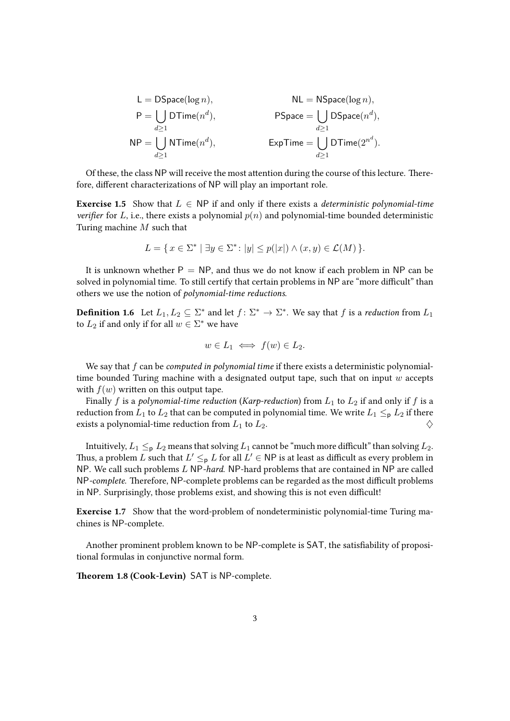$$
\begin{aligned} \mathsf{L} &= \mathsf{DSpace}(\log n), & \mathsf{NL} &= \mathsf{NSpace}(\log n), \\ \mathsf{P} &= \bigcup_{d \geq 1} \mathsf{DTime}(n^d), & \mathsf{PSpace} &= \bigcup_{d \geq 1} \mathsf{DSpace}(n^d), \\ \mathsf{NP} &= \bigcup_{d \geq 1} \mathsf{NTime}(n^d), & \mathsf{ExpTime} &= \bigcup_{d \geq 1} \mathsf{DTime}(2^{n^d}). \end{aligned}
$$

Of these, the class NP will receive the most attention during the course of this lecture. Therefore, different characterizations of NP will play an important role.

**Exercise 1.5** Show that  $L \in NP$  if and only if there exists a deterministic polynomial-time verifier for L, i.e., there exists a polynomial  $p(n)$  and polynomial-time bounded deterministic Turing machine M such that

$$
L = \{ x \in \Sigma^* \mid \exists y \in \Sigma^* : |y| \le p(|x|) \land (x, y) \in \mathcal{L}(M) \}.
$$

It is unknown whether  $P = NP$ , and thus we do not know if each problem in NP can be solved in polynomial time. To still certify that certain problems in NP are "more difficult" than others we use the notion of polynomial-time reductions.

**Definition 1.6** Let  $L_1, L_2 \subseteq \Sigma^*$  and let  $f : \Sigma^* \to \Sigma^*$ . We say that f is a reduction from  $L_1$ to  $L_2$  if and only if for all  $w \in \Sigma^*$  we have

$$
w \in L_1 \iff f(w) \in L_2.
$$

We say that  $f$  can be *computed in polynomial time* if there exists a deterministic polynomialtime bounded Turing machine with a designated output tape, such that on input  $w$  accepts with  $f(w)$  written on this output tape.

Finally f is a polynomial-time reduction (Karp-reduction) from  $L_1$  to  $L_2$  if and only if f is a reduction from  $L_1$  to  $L_2$  that can be computed in polynomial time. We write  $L_1 \leq_{\mathbf{p}} L_2$  if there exists a polynomial-time reduction from  $L_1$  to  $L_2$ .

Intuitively,  $L_1 \leq_p L_2$  means that solving  $L_1$  cannot be "much more difficult" than solving  $L_2$ . Thus, a problem  $L$  such that  $L' \leq_{\textsf{p}} L$  for all  $L' \in \textsf{NP}$  is at least as difficult as every problem in NP. We call such problems L NP-hard. NP-hard problems that are contained in NP are called NP-complete. Therefore, NP-complete problems can be regarded as the most difficult problems in NP. Surprisingly, those problems exist, and showing this is not even difficult!

Exercise 1.7 Show that the word-problem of nondeterministic polynomial-time Turing machines is NP-complete.

Another prominent problem known to be NP-complete is SAT, the satisfiability of propositional formulas in conjunctive normal form.

Theorem 1.8 (Cook-Levin) SAT is NP-complete.